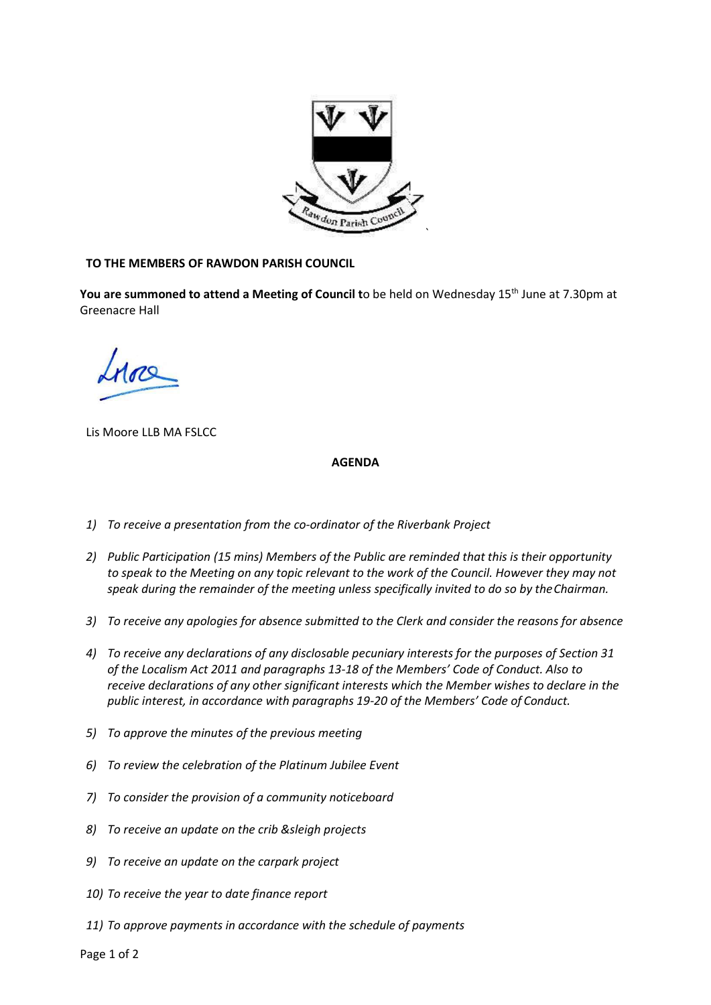

## TO THE MEMBERS OF RAWDON PARISH COUNCIL

You are summoned to attend a Meeting of Council to be held on Wednesday 15<sup>th</sup> June at 7.30pm at Greenacre Hall

Lis Moore LLB MA FSLCC

## AGENDA

- 1) To receive a presentation from the co-ordinator of the Riverbank Project
- 2) Public Participation (15 mins) Members of the Public are reminded that this is their opportunity to speak to the Meeting on any topic relevant to the work of the Council. However they may not speak during the remainder of the meeting unless specifically invited to do so by the Chairman.
- 3) To receive any apologies for absence submitted to the Clerk and consider the reasons for absence
- 4) To receive any declarations of any disclosable pecuniary interests for the purposes of Section 31 of the Localism Act 2011 and paragraphs 13-18 of the Members' Code of Conduct. Also to receive declarations of any other significant interests which the Member wishes to declare in the public interest, in accordance with paragraphs 19-20 of the Members' Code of Conduct.
- 5) To approve the minutes of the previous meeting
- 6) To review the celebration of the Platinum Jubilee Event
- 7) To consider the provision of a community noticeboard
- 8) To receive an update on the crib &sleigh projects
- 9) To receive an update on the carpark project
- 10) To receive the year to date finance report
- 11) To approve payments in accordance with the schedule of payments